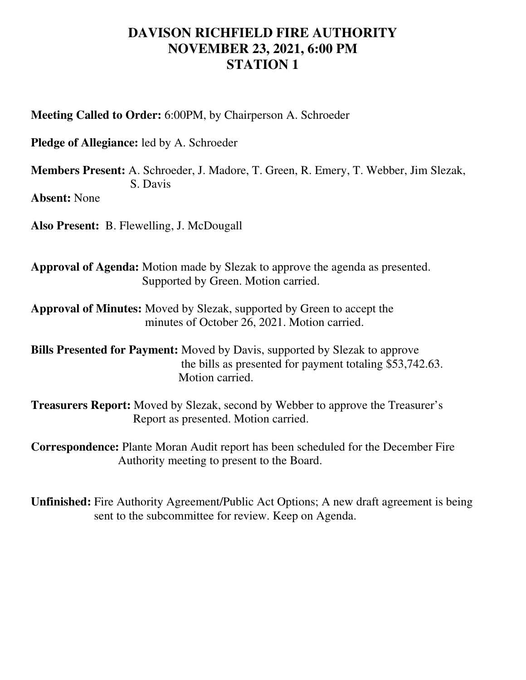## **DAVISON RICHFIELD FIRE AUTHORITY NOVEMBER 23, 2021, 6:00 PM STATION 1**

**Meeting Called to Order:** 6:00PM, by Chairperson A. Schroeder

**Pledge of Allegiance:** led by A. Schroeder

**Members Present:** A. Schroeder, J. Madore, T. Green, R. Emery, T. Webber, Jim Slezak, S. Davis

**Absent:** None

**Also Present:** B. Flewelling, J. McDougall

**Approval of Agenda:** Motion made by Slezak to approve the agenda as presented. Supported by Green. Motion carried.

**Approval of Minutes:** Moved by Slezak, supported by Green to accept the minutes of October 26, 2021. Motion carried.

**Bills Presented for Payment:** Moved by Davis, supported by Slezak to approve the bills as presented for payment totaling \$53,742.63. Motion carried.

**Treasurers Report:** Moved by Slezak, second by Webber to approve the Treasurer's Report as presented. Motion carried.

**Correspondence:** Plante Moran Audit report has been scheduled for the December Fire Authority meeting to present to the Board.

**Unfinished:** Fire Authority Agreement/Public Act Options; A new draft agreement is being sent to the subcommittee for review. Keep on Agenda.